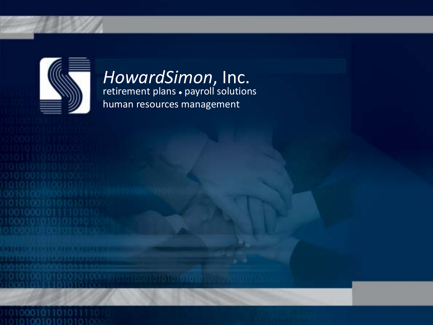

#### retirement plans payroll solutions hementent plans • payron sont *HowardSimon*, Inc. retirement plans . payroll solutions human resources management *HowardSimon*, Inc.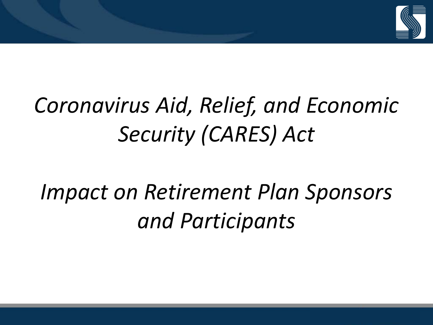

# *Coronavirus Aid, Relief, and Economic Security (CARES) Act*

# *Impact on Retirement Plan Sponsors and Participants*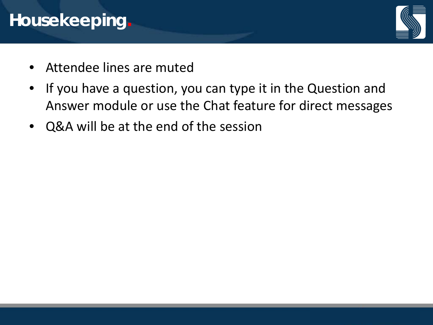## **Housekeeping.**



- Attendee lines are muted
- If you have a question, you can type it in the Question and Answer module or use the Chat feature for direct messages
- Q&A will be at the end of the session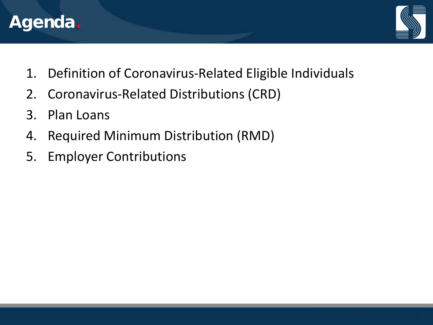



- 1. Definition of Coronavirus-Related Eligible Individuals
- 2. Coronavirus-Related Distributions (CRD)
- 3. Plan Loans
- 4. Required Minimum Distribution (RMD)
- 5. Employer Contributions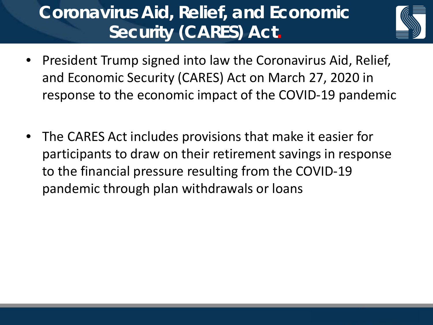# **Coronavirus Aid, Relief, and Economic Security (CARES) Act.**



- President Trump signed into law the Coronavirus Aid, Relief, and Economic Security (CARES) Act on March 27, 2020 in response to the economic impact of the COVID-19 pandemic
- The CARES Act includes provisions that make it easier for participants to draw on their retirement savings in response to the financial pressure resulting from the COVID-19 pandemic through plan withdrawals or loans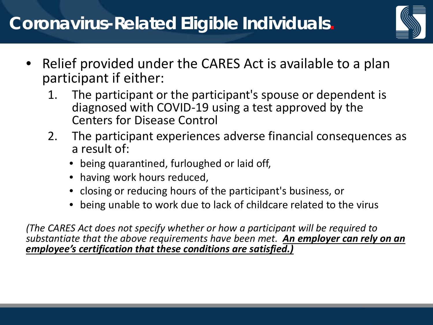

- Relief provided under the CARES Act is available to a plan participant if either:
	- 1. The participant or the participant's spouse or dependent is diagnosed with COVID-19 using a test approved by the Centers for Disease Control
	- 2. The participant experiences adverse financial consequences as a result of:
		- being quarantined, furloughed or laid off,
		- having work hours reduced,
		- closing or reducing hours of the participant's business, or
		- being unable to work due to lack of childcare related to the virus

*(The CARES Act does not specify whether or how a participant will be required to substantiate that the above requirements have been met. An employer can rely on an employee's certification that these conditions are satisfied.)*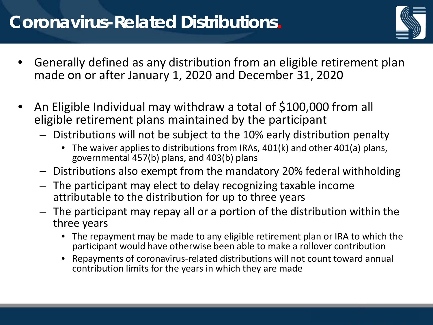## **Coronavirus-Related Distributions.**



- Generally defined as any distribution from an eligible retirement plan made on or after January 1, 2020 and December 31, 2020
- An Eligible Individual may withdraw a total of \$100,000 from all eligible retirement plans maintained by the participant
	- Distributions will not be subject to the 10% early distribution penalty
		- The waiver applies to distributions from IRAs, 401(k) and other 401(a) plans, governmental 457(b) plans, and 403(b) plans
	- Distributions also exempt from the mandatory 20% federal withholding
	- The participant may elect to delay recognizing taxable income attributable to the distribution for up to three years
	- The participant may repay all or a portion of the distribution within the three years
		- The repayment may be made to any eligible retirement plan or IRA to which the participant would have otherwise been able to make a rollover contribution
		- Repayments of coronavirus-related distributions will not count toward annual contribution limits for the years in which they are made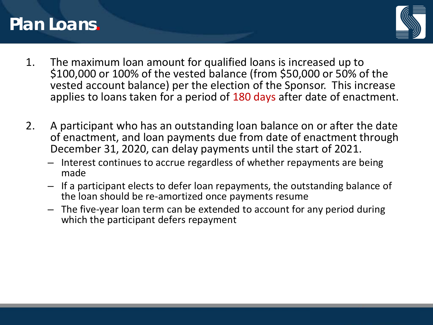#### **Plan Loans.**



- 1. The maximum loan amount for qualified loans is increased up to \$100,000 or 100% of the vested balance (from \$50,000 or 50% of the vested account balance) per the election of the Sponsor. This increase applies to loans taken for a period of 180 days after date of enactment.
- 2. A participant who has an outstanding loan balance on or after the date of enactment, and loan payments due from date of enactment through December 31, 2020, can delay payments until the start of 2021.
	- Interest continues to accrue regardless of whether repayments are being made
	- If a participant elects to defer loan repayments, the outstanding balance of the loan should be re-amortized once payments resume
	- The five-year loan term can be extended to account for any period during which the participant defers repayment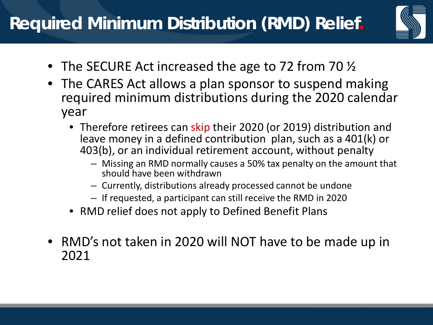

- The SECURE Act increased the age to 72 from 70  $\frac{1}{2}$
- The CARES Act allows a plan sponsor to suspend making required minimum distributions during the 2020 calendar year
	- Therefore retirees can skip their 2020 (or 2019) distribution and leave money in a defined contribution plan, such as a 401(k) or 403(b), or an individual retirement account, without penalty
		- Missing an RMD normally causes a 50% tax penalty on the amount that should have been withdrawn
		- Currently, distributions already processed cannot be undone
		- If requested, a participant can still receive the RMD in 2020
	- RMD relief does not apply to Defined Benefit Plans
- RMD's not taken in 2020 will NOT have to be made up in 2021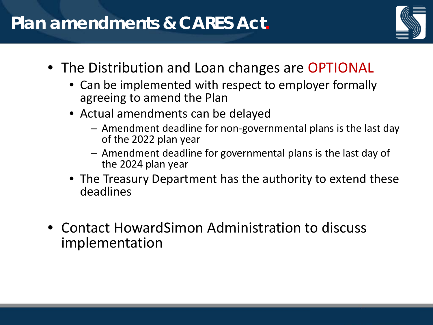#### **Plan amendments & CARES Act.**



- The Distribution and Loan changes are OPTIONAL
	- Can be implemented with respect to employer formally agreeing to amend the Plan
	- Actual amendments can be delayed
		- Amendment deadline for non-governmental plans is the last day of the 2022 plan year
		- Amendment deadline for governmental plans is the last day of the 2024 plan year
	- The Treasury Department has the authority to extend these deadlines
- Contact HowardSimon Administration to discuss implementation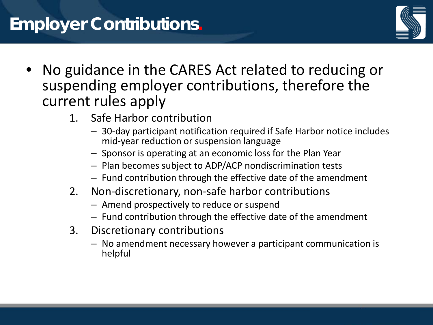## **Employer Contributions.**



- No guidance in the CARES Act related to reducing or suspending employer contributions, therefore the current rules apply
	- 1. Safe Harbor contribution
		- 30-day participant notification required if Safe Harbor notice includes mid-year reduction or suspension language
		- Sponsor is operating at an economic loss for the Plan Year
		- Plan becomes subject to ADP/ACP nondiscrimination tests
		- Fund contribution through the effective date of the amendment
	- 2. Non-discretionary, non-safe harbor contributions
		- Amend prospectively to reduce or suspend
		- Fund contribution through the effective date of the amendment
	- 3. Discretionary contributions
		- No amendment necessary however a participant communication is helpful